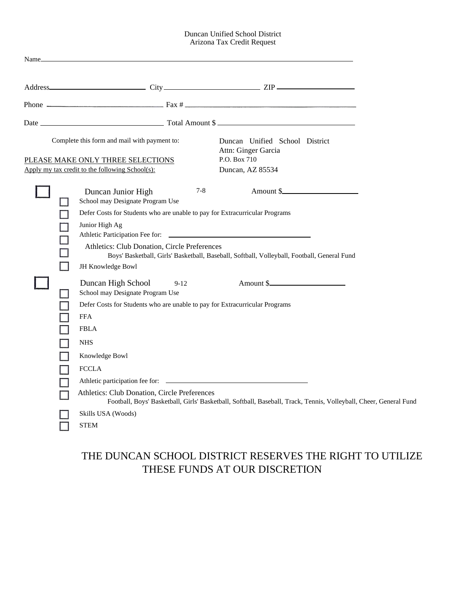## Duncan Unified School District Arizona Tax Credit Request

|                                                                                                                                                                                                                                                | Phone $\frac{1}{2}$ Fax # $\frac{1}{2}$ Fax + $\frac{1}{2}$ Fax + $\frac{1}{2}$ Fax + $\frac{1}{2}$ Fax + $\frac{1}{2}$ Fax + $\frac{1}{2}$ Fax + $\frac{1}{2}$ Fax + $\frac{1}{2}$ Fax + $\frac{1}{2}$ Fax + $\frac{1}{2}$ Fax + $\frac{1}{2}$ Fax + $\frac{1}{2}$ Fax + $\frac{1}{2}$                                                                                                                                                 |
|------------------------------------------------------------------------------------------------------------------------------------------------------------------------------------------------------------------------------------------------|-----------------------------------------------------------------------------------------------------------------------------------------------------------------------------------------------------------------------------------------------------------------------------------------------------------------------------------------------------------------------------------------------------------------------------------------|
|                                                                                                                                                                                                                                                |                                                                                                                                                                                                                                                                                                                                                                                                                                         |
|                                                                                                                                                                                                                                                | Duncan Unified School District<br>Attn: Ginger Garcia<br>P.O. Box 710<br>Duncan, AZ 85534                                                                                                                                                                                                                                                                                                                                               |
| Duncan Junior High<br>School may Designate Program Use<br>Junior High Ag<br>JH Knowledge Bowl<br>Duncan High School<br>$9-12$<br>School may Designate Program Use<br><b>FFA</b><br><b>FBLA</b><br><b>NHS</b><br>Knowledge Bowl<br><b>FCCLA</b> | Amount \$<br>$7 - 8$<br>Boys' Basketball, Girls' Basketball, Baseball, Softball, Volleyball, Football, General Fund<br>Amount \$<br>Football, Boys' Basketball, Girls' Basketball, Softball, Baseball, Track, Tennis, Volleyball, Cheer, General Fund                                                                                                                                                                                   |
|                                                                                                                                                                                                                                                | Complete this form and mail with payment to:<br>PLEASE MAKE ONLY THREE SELECTIONS<br>Apply my tax credit to the following School(s):<br>Defer Costs for Students who are unable to pay for Extracurricular Programs<br>Athletics: Club Donation, Circle Preferences<br>Defer Costs for Students who are unable to pay for Extracurricular Programs<br>Athletics: Club Donation, Circle Preferences<br>Skills USA (Woods)<br><b>STEM</b> |

# THE DUNCAN SCHOOL DISTRICT RESERVES THE RIGHT TO UTILIZE THESE FUNDS AT OUR DISCRETION